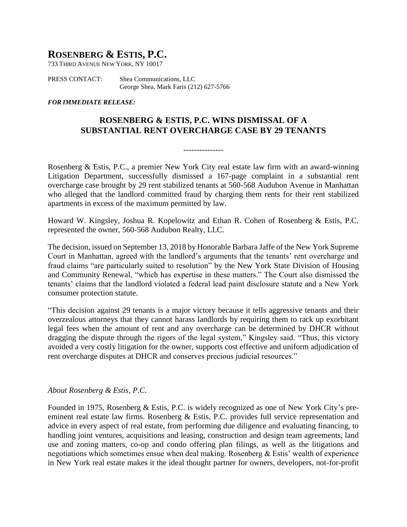## **ROSENBERG & ESTIS, P.C.**

733 THIRD AVENUE NEW YORK, NY 10017

PRESS CONTACT: Shea Communications, LLC George Shea, Mark Faris (212) 627-5766

## *FOR IMMEDIATE RELEASE:*

## **ROSENBERG & ESTIS, P.C. WINS DISMISSAL OF A SUBSTANTIAL RENT OVERCHARGE CASE BY 29 TENANTS**

---------------

Rosenberg & Estis, P.C., a premier New York City real estate law firm with an award-winning Litigation Department, successfully dismissed a 167-page complaint in a substantial rent overcharge case brought by 29 rent stabilized tenants at 560-568 Audubon Avenue in Manhattan who alleged that the landlord committed fraud by charging them rents for their rent stabilized apartments in excess of the maximum permitted by law.

Howard W. Kingsley, Joshua R. Kopelowitz and Ethan R. Cohen of Rosenberg & Estis, P.C. represented the owner, 560-568 Audubon Realty, LLC.

The decision, issued on September 13, 2018 by Honorable Barbara Jaffe of the New York Supreme Court in Manhattan, agreed with the landlord's arguments that the tenants' rent overcharge and fraud claims "are particularly suited to resolution" by the New York State Division of Housing and Community Renewal, "which has expertise in these matters." The Court also dismissed the tenants' claims that the landlord violated a federal lead paint disclosure statute and a New York consumer protection statute.

"This decision against 29 tenants is a major victory because it tells aggressive tenants and their overzealous attorneys that they cannot harass landlords by requiring them to rack up exorbitant legal fees when the amount of rent and any overcharge can be determined by DHCR without dragging the dispute through the rigors of the legal system," Kingsley said. "Thus, this victory avoided a very costly litigation for the owner, supports cost effective and uniform adjudication of rent overcharge disputes at DHCR and conserves precious judicial resources."

## *About Rosenberg & Estis, P.C.*

Founded in 1975, Rosenberg & Estis, P.C. is widely recognized as one of New York City's preeminent real estate law firms. Rosenberg & Estis, P.C. provides full service representation and advice in every aspect of real estate, from performing due diligence and evaluating financing, to handling joint ventures, acquisitions and leasing, construction and design team agreements, land use and zoning matters, co-op and condo offering plan filings, as well as the litigations and negotiations which sometimes ensue when deal making. Rosenberg & Estis' wealth of experience in New York real estate makes it the ideal thought partner for owners, developers, not-for-profit